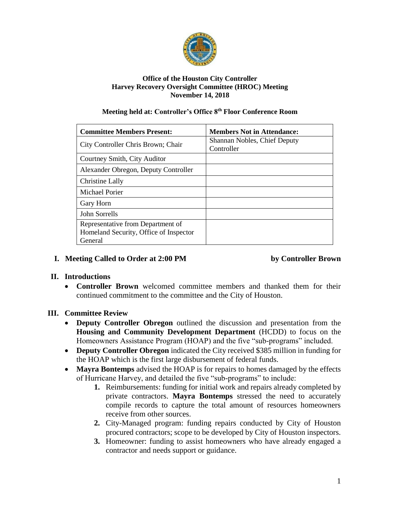

#### **Office of the Houston City Controller Harvey Recovery Oversight Committee (HROC) Meeting November 14, 2018**

#### **Meeting held at: Controller's Office 8th Floor Conference Room**

| <b>Committee Members Present:</b>      | <b>Members Not in Attendance:</b>          |
|----------------------------------------|--------------------------------------------|
| City Controller Chris Brown; Chair     | Shannan Nobles, Chief Deputy<br>Controller |
| Courtney Smith, City Auditor           |                                            |
| Alexander Obregon, Deputy Controller   |                                            |
| Christine Lally                        |                                            |
| Michael Porier                         |                                            |
| Gary Horn                              |                                            |
| John Sorrells                          |                                            |
| Representative from Department of      |                                            |
| Homeland Security, Office of Inspector |                                            |
| General                                |                                            |

# **I. Meeting Called to Order at 2:00 PM by Controller Brown**

## **II. Introductions**

• **Controller Brown** welcomed committee members and thanked them for their continued commitment to the committee and the City of Houston.

## **III. Committee Review**

- **Deputy Controller Obregon** outlined the discussion and presentation from the **Housing and Community Development Department** (HCDD) to focus on the Homeowners Assistance Program (HOAP) and the five "sub-programs" included.
- **Deputy Controller Obregon** indicated the City received \$385 million in funding for the HOAP which is the first large disbursement of federal funds.
- **Mayra Bontemps** advised the HOAP is for repairs to homes damaged by the effects of Hurricane Harvey, and detailed the five "sub-programs" to include:
	- **1.** Reimbursements: funding for initial work and repairs already completed by private contractors. **Mayra Bontemps** stressed the need to accurately compile records to capture the total amount of resources homeowners receive from other sources.
	- **2.** City-Managed program: funding repairs conducted by City of Houston procured contractors; scope to be developed by City of Houston inspectors.
	- **3.** Homeowner: funding to assist homeowners who have already engaged a contractor and needs support or guidance.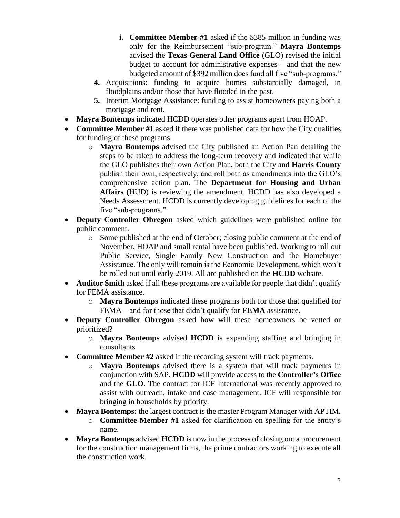- **i. Committee Member #1** asked if the \$385 million in funding was only for the Reimbursement "sub-program." **Mayra Bontemps** advised the **Texas General Land Office** (GLO) revised the initial budget to account for administrative expenses – and that the new budgeted amount of \$392 million does fund all five "sub-programs."
- **4.** Acquisitions: funding to acquire homes substantially damaged, in floodplains and/or those that have flooded in the past.
- **5.** Interim Mortgage Assistance: funding to assist homeowners paying both a mortgage and rent.
- **Mayra Bontemps** indicated HCDD operates other programs apart from HOAP.
- **Committee Member #1** asked if there was published data for how the City qualifies for funding of these programs.
	- o **Mayra Bontemps** advised the City published an Action Pan detailing the steps to be taken to address the long-term recovery and indicated that while the GLO publishes their own Action Plan, both the City and **Harris County** publish their own, respectively, and roll both as amendments into the GLO's comprehensive action plan. The **Department for Housing and Urban Affairs** (HUD) is reviewing the amendment. HCDD has also developed a Needs Assessment. HCDD is currently developing guidelines for each of the five "sub-programs."
- **Deputy Controller Obregon** asked which guidelines were published online for public comment.
	- o Some published at the end of October; closing public comment at the end of November. HOAP and small rental have been published. Working to roll out Public Service, Single Family New Construction and the Homebuyer Assistance. The only will remain is the Economic Development, which won't be rolled out until early 2019. All are published on the **HCDD** website.
- **Auditor Smith** asked if all these programs are available for people that didn't qualify for FEMA assistance.
	- o **Mayra Bontemps** indicated these programs both for those that qualified for FEMA – and for those that didn't qualify for **FEMA** assistance.
- **Deputy Controller Obregon** asked how will these homeowners be vetted or prioritized?
	- o **Mayra Bontemps** advised **HCDD** is expanding staffing and bringing in consultants
- **Committee Member #2** asked if the recording system will track payments.
	- o **Mayra Bontemps** advised there is a system that will track payments in conjunction with SAP. **HCDD** will provide access to the **Controller's Office** and the **GLO**. The contract for ICF International was recently approved to assist with outreach, intake and case management. ICF will responsible for bringing in households by priority.
- **Mayra Bontemps:** the largest contract is the master Program Manager with APTIM**.**
	- o **Committee Member #1** asked for clarification on spelling for the entity's name.
- **Mayra Bontemps** advised **HCDD** is now in the process of closing out a procurement for the construction management firms, the prime contractors working to execute all the construction work.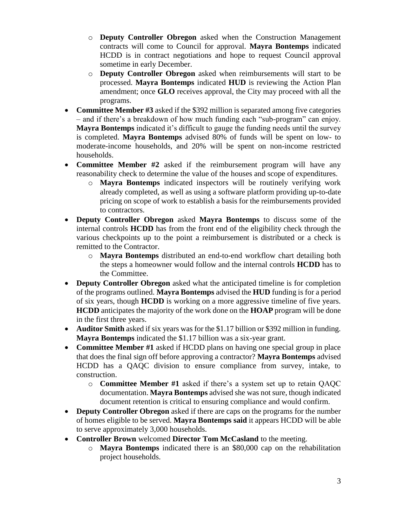- o **Deputy Controller Obregon** asked when the Construction Management contracts will come to Council for approval. **Mayra Bontemps** indicated HCDD is in contract negotiations and hope to request Council approval sometime in early December.
- o **Deputy Controller Obregon** asked when reimbursements will start to be processed. **Mayra Bontemps** indicated **HUD** is reviewing the Action Plan amendment; once **GLO** receives approval, the City may proceed with all the programs.
- **Committee Member #3** asked if the \$392 million is separated among five categories – and if there's a breakdown of how much funding each "sub-program" can enjoy. **Mayra Bontemps** indicated it's difficult to gauge the funding needs until the survey is completed. **Mayra Bontemps** advised 80% of funds will be spent on low- to moderate-income households, and 20% will be spent on non-income restricted households.
- **Committee Member #2** asked if the reimbursement program will have any reasonability check to determine the value of the houses and scope of expenditures.
	- o **Mayra Bontemps** indicated inspectors will be routinely verifying work already completed, as well as using a software platform providing up-to-date pricing on scope of work to establish a basis for the reimbursements provided to contractors.
- **Deputy Controller Obregon** asked **Mayra Bontemps** to discuss some of the internal controls **HCDD** has from the front end of the eligibility check through the various checkpoints up to the point a reimbursement is distributed or a check is remitted to the Contractor.
	- o **Mayra Bontemps** distributed an end-to-end workflow chart detailing both the steps a homeowner would follow and the internal controls **HCDD** has to the Committee.
- **Deputy Controller Obregon** asked what the anticipated timeline is for completion of the programs outlined. **Mayra Bontemps** advised the **HUD** funding is for a period of six years, though **HCDD** is working on a more aggressive timeline of five years. **HCDD** anticipates the majority of the work done on the **HOAP** program will be done in the first three years.
- **Auditor Smith** asked if six years was for the \$1.17 billion or \$392 million in funding. **Mayra Bontemps** indicated the \$1.17 billion was a six-year grant.
- **Committee Member #1** asked if HCDD plans on having one special group in place that does the final sign off before approving a contractor? **Mayra Bontemps** advised HCDD has a QAQC division to ensure compliance from survey, intake, to construction.
	- o **Committee Member #1** asked if there's a system set up to retain QAQC documentation. **Mayra Bontemps** advised she was not sure, though indicated document retention is critical to ensuring compliance and would confirm.
- **Deputy Controller Obregon** asked if there are caps on the programs for the number of homes eligible to be served. **Mayra Bontemps said** it appears HCDD will be able to serve approximately 3,000 households.
- **Controller Brown** welcomed **Director Tom McCasland** to the meeting.
	- o **Mayra Bontemps** indicated there is an \$80,000 cap on the rehabilitation project households.